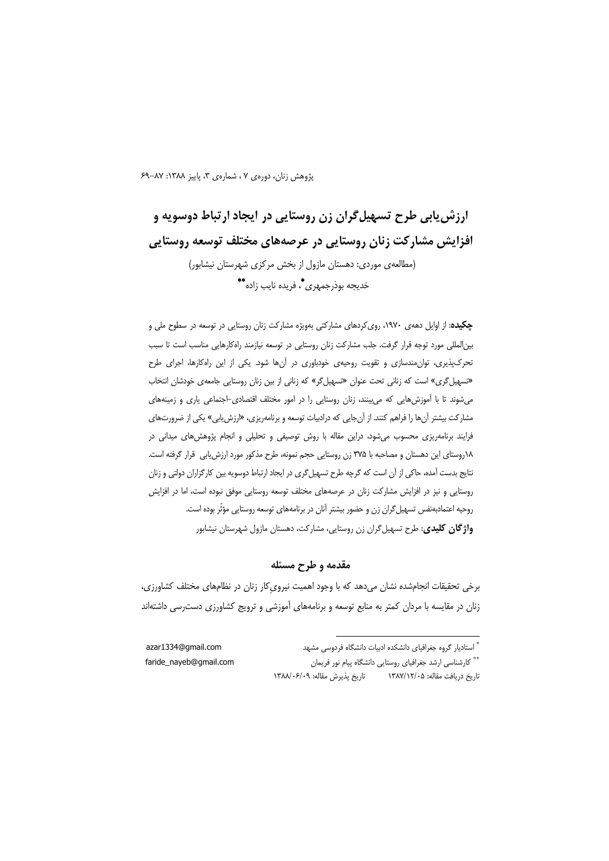پژوهش زنان، دورهی ۷، شمارهی ۳، پاییز ۱۳۸۸: ۸۷-۶۹

# ارزش یابی طرح تسهیل گران زن روستایی در ایجاد ارتباط دوسویه و افزایش مشارکت زنان روستایی در عرصههای مختلف توسعه روستایی (مطالعهی موردی: دهستان مازول از بخش مرکزی شهرستان نیشابور) خديجه بوذرجمهري\*، فريده نايب زاده\*\*

چکیده: از اوایل دههی ۱۹۷۰، روی کردهای مشارکتی بهویژه مشارکت زنان روستایی در توسعه در سطوح ملی و بین|لمللی مورد توجه قرار گرفت. جلب مشارکت زنان روستایی در توسعه نیازمند راهکارهایی مناسب است تا سبب تحرکپذیری، توان مندسازی و تقویت روحیهی خودباوری در آنها شود. یکی از این راهکارها، اجرای طرح «تسهیل گری» است که زنانی تحت عنوان «تسهیل گر» که زنانی از بین زنان روستایی جامعهی خودشان انتخاب میشوند تا با آموزشهایی که میبینند، زنان روستایی را در امور مختلف اقتصادی-اجتماعی یاری و زمینههای مشارکت بیشتر آنها را فراهم کنند. از آنجایی که درادبیات توسعه و برنامهریزی، «ارزش یابی» یکی از ضرورتهای فرایند برنامهریزی محسوب میشود، دراین مقاله با روش توصیفی و تحلیلی و انجام پژوهشهای میدانی در ١٨روستاي اين دهستان و مصاحبه با ٣٧۵ زن روستايي حجم نمونه، طرح مذكور مورد ارزش يابي قرار گرفته است. نتایج بدست آمده، حاکی از آن است که گرچه طرح تسهیل گری در ایجاد ارتباط دوسویه بین کارگزاران دولتی و زنان روستایی و نیز در افزایش مشارکت زنان در عرصههای مختلف توسعه روستایی موفق نبوده است، اما در افزایش روحيه اعتمادبهنفس تسهيل گران زن و حضور بيشتر آنان در برنامههاي توسعه روستايي مؤثّر بوده است. **واژگان کلیدی**: طرح تسهیل گران زن روستایی، مشارکت، دهستان مازول شهرستان نیشابور

### مقدمه و طرح مسئله

برخی تحقیقات انجامشده نشان میدهد که با وجود اهمیت نیروی کار زنان در نظامهای مختلف کشاورزی، زنان در مقایسه با مردان کمتر به منابع توسعه و برنامههای آموزشی و ترویج کشاورزی دسترسی داشتهاند

azar1334@gmail.com faride\_nayeb@gmail.com

\*\* كارشناسي ارشد جغرافياي روستايي دانشگاه پيام نور فريمان تاريخ پذيرش مقاله: ١٣٨٨/٠۶/٠٩ تاریخ دریافت مقاله: ۱۳۸۷/۱۲/۰۵

<sup>\*</sup> استادیار گروه جغرافیای دانشکده ادبیات دانشگاه فردوسی مشهد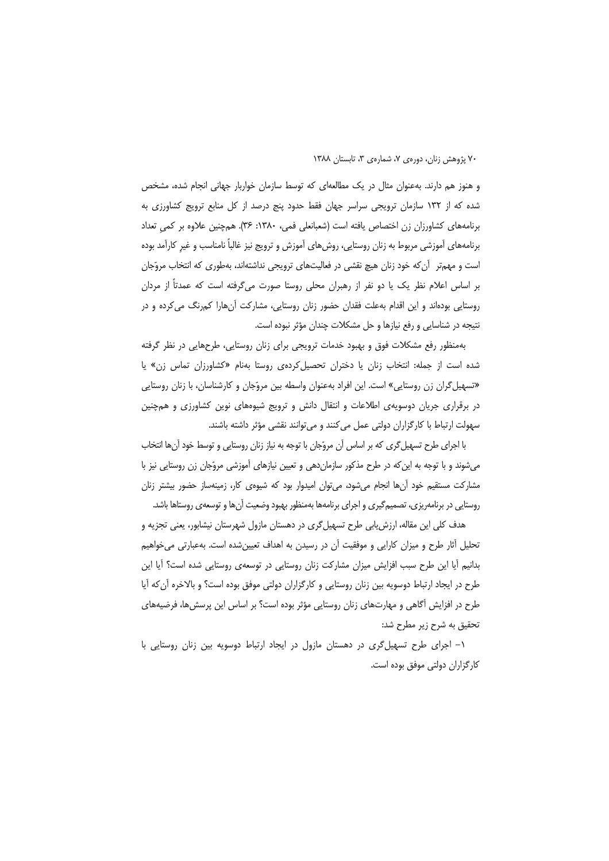و هنوز هم دارند. بهعنوان مثال در یک مطالعهای که توسط سازمان خواربار جهانی انجام شده، مشخص شده که از ۱۳۲ سازمان ترویجی سراسر جهان فقط حدود پنج درصد از کل منابع ترویج کشاورزی به برنامههای کشاورزان زن اختصاص یافته است (شعبانعلی فمی، ۱۳۸۰: ۳۶). هم چنین علاوه بر کمی تعداد برنامههای آموزشی مربوط به زنان روستایی، روشهای آموزش و ترویج نیز غالباً نامناسب و غیر کارآمد بوده است و مهمتر آن که خود زنان هیچ نقشی در فعالیتهای ترویجی نداشتهاند، بهطوری که انتخاب مروّجان بر اساس اعلام نظر یک یا دو نفر از رهبران محلی روستا صورت میگرفته است که عمدتاً از مردان روستایی بودهاند و این اقدام بهعلت فقدان حضور زنان روستایی، مشارکت آنهارا کمرنگ می کرده و در نتیجه در شناسایی و رفع نیازها و حل مشکلات چندان مؤثر نبوده است.

بهمنظور رفع مشكلات فوق و بهبود خدمات ترويجي براي زنان روستايي، طرحهايي در نظر گرفته شده است از جمله: انتخاب زنان یا دختران تحصیل کردهی روستا بهنام «کشاورزان تماس زن» یا «تسهیل گران زن روستایی» است. این افراد بهعنوان واسطه بین مروّجان و کارشناسان، با زنان روستایی در برقراری جریان دوسویهی اطلاعات و انتقال دانش و ترویج شیوههای نوین کشاورزی و همچنین سهولت ارتباط با كارگزاران دولتي عمل مي كنند و مي توانند نقشي مؤثر داشته باشند.

با اجرای طرح تسهیل گری که بر اساس آن مروّجان با توجه به نیاز زنان روستایی و توسط خود آنها انتخاب میشوند و با توجه به این که در طرح مذکور سازمان هی و تعیین نیازهای آموزشی مروّجان زن روستایی نیز با مشارکت مستقیم خود آنها انجام میشود، میتوان امیدوار بود که شیوهی کار، زمینهساز حضور بیشتر زنان روستایی در برنامهریزی، تصمیمگیری و اجرای برنامهها بهمنظور بهبود وضعیت آنها و توسعهی روستاها باشد.

هدف کلی این مقاله، ارزش یابی طرح تسهیل گری در دهستان مازول شهرستان نیشابور، یعنی تجزیه و تحلیل أثار طرح و میزان کارایی و موفقیت آن در رسیدن به اهداف تعیینشده است. بهعبارتی میخواهیم بدانیم أیا این طرح سبب افزایش میزان مشارکت زنان روستایی در توسعهی روستایی شده است؟ أیا این طرح در ایجاد ارتباط دوسویه بین زنان روستایی و کارگزاران دولتی موفق بوده است؟ و بالاخره آن که آیا طرح در افزایش آگاهی و مهارتهای زنان روستایی مؤثر بوده است؟ بر اساس این پرسشها، فرضیههای تحقیق به شرح زیر مطرح شد:

۱– اجرای طرح تسهیل گری در دهستان مازول در ایجاد ارتباط دوسویه بین زنان روستایی با كارگزاران دولتى موفق بوده است.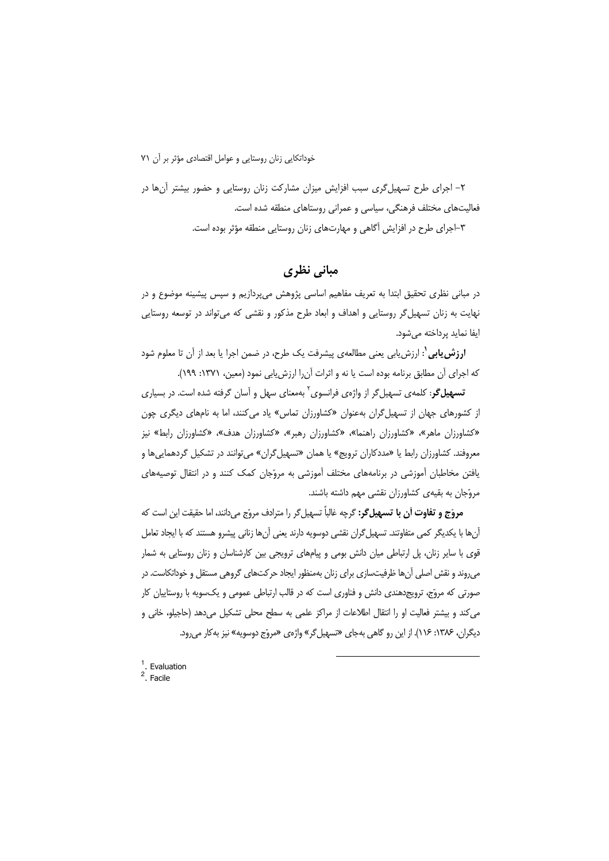۲– اجرای طرح تسهیل گری سبب افزایش میزان مشارکت زنان روستایی و حضور بیشتر آنها در فعالیتهای مختلف فرهنگی، سیاسی و عمرانی روستاهای منطقه شده است. ۳–اجرای طرح در افزایش آگاهی و مهارتهای زنان روستایی منطقه مؤثر بوده است.

# مبانی نظری

در مبانی نظری تحقیق ابتدا به تعریف مفاهیم اساسی پژوهش میپردازیم و سپس پیشینه موضوع و در نهایت به زنان تسهیل گر روستایی و اهداف و ابعاد طرح مذکور و نقشی که میتواند در توسعه روستایی ایفا نماید پرداخته مے شود.

**ارزش یابی'**: ارزش یابی یعنی مطالعهی پیشرفت یک طرح، در ضمن اجرا یا بعد از آن تا معلوم شود که اجرای آن مطابق برنامه بوده است یا نه و اثرات آنرا ارزش یابی نمود (معین، ۱۳۷۱: ۱۹۹).

**تسهیل گر**: کلمهی تسهیل گر از واژهی فرانسوی<sup>۲</sup> بهمعنای سهل و آسان گرفته شده است. در بسیاری از کشورهای جهان از تسهیل گران بهعنوان «کشاورزان تماس» یاد میکنند، اما به نامهای دیگری چون «کشاورزان ماهر»، «کشاورزان راهنما»، «کشاورزان رهبر»، «کشاورزان هدف»، «کشاورزان رابط» نیز معروفند. کشاورزان رابط یا «مددکاران ترویج» یا همان «تسهیل گران» میتوانند در تشکیل گردهماییها و یافتن مخاطبان أموزشی در برنامههای مختلف أموزشی به مروّجان کمک کنند و در انتقال توصیههای مروّجان به بقیهی کشاورزان نقشی مهم داشته باشند.

مروّج و تفاوت أن با تسهیل۶: گرچه غالباً تسهیل۶ را مترادف مروّج میدانند، اما حقیقت این است که آنها با یکدیگر کمی متفاوتند. تسهیل گران نقشی دوسویه دارند یعنی آنها زنانی پیشرو هستند که با ایجاد تعامل قوی با سایر زنان، پل ارتباطی میان دانش بومی و پیامهای ترویجی بین کارشناسان و زنان روستایی به شمار میروند و نقش اصلی آنها ظرفیتسازی برای زنان بهمنظور ایجاد حرکتهای گروهی مستقل و خوداتکاست. در صورتی که مروّج، ترویجدهندی دانش و فناوری است که در قالب ارتباطی عمومی و یکسویه با روستاییان کار می کند و بیشتر فعالیت او را انتقال اطلاعات از مراکز علمی به سطح محلی تشکیل می دهد (حاجیلو، خانی و دیگران، ۱۳۸۶: ۱۱۶). از این رو گاهی بهجای «تسهیل گر» واژهی «مروّج دوسویه» نیز به کار می رود.

 $<sup>1</sup>$ . Evaluation</sup>  $2$  Facile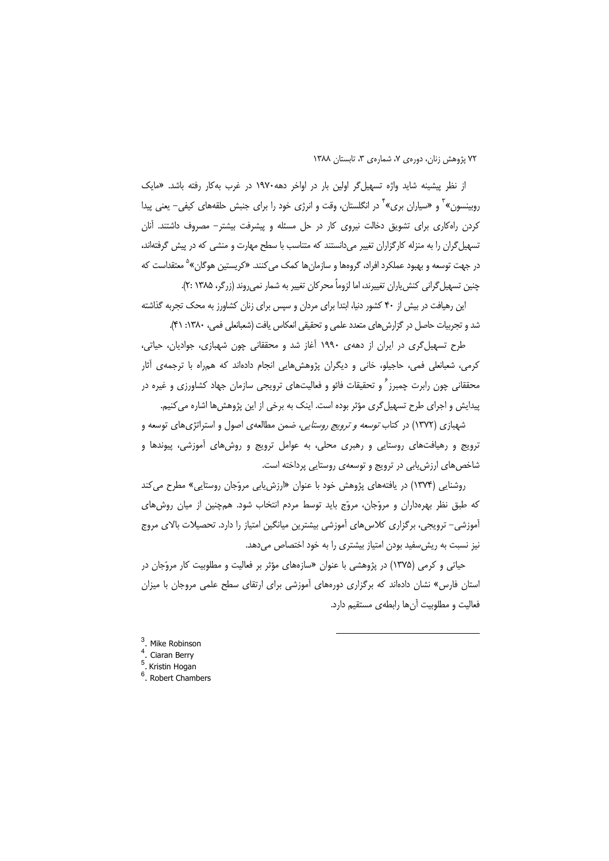از نظر پیشینه شاید واژه تسهیل گر اولین بار در اواخر دهه ۱۹۷۰ در غرب به کار رفته باشد. «مایک روبینسون» ٰ و «سیاران بری» ٰ در انگلستان، وقت و انرژی خود را برای جنبش حلقههای کیفی– یعنی پیدا کردن راهکاری برای تشویق دخالت نیروی کار در حل مسئله و پیشرفت بیشتر– مصروف داشتند. آنان تسهیل گران را به منزله کارگزاران تغییر می دانستند که متناسب با سطح مهارت و منشی که در پیش گرفتهاند، در جهت توسعه و بهبود عملکرد افراد، گروهها و سازمانها کمک می *ک*نند. «کریستین هوگان»<sup>۵</sup> معتقداست که چنین تسهیل گرانی کنش یاران تغییرند، اما لزوماً محرکان تغییر به شمار نمی روند (زرگر، ۱۳۸۵ :۲).

این رهیافت در بیش از ۴۰ کشور دنیا، ابتدا برای مردان و سپس برای زنان کشاورز به محک تجربه گذاشته شد و تجربیات حاصل در گزارش های متعدد علمی و تحقیقی انعکاس یافت (شعبانعلی فمی، ۱۳۸۰: ۴۱).

طرح تسهیل گری در ایران از دههی ۱۹۹۰ آغاز شد و محققانی چون شهبازی، جوادیان، حیاتی، کرمی، شعبانعلی فمی، حاجیلو، خانی و دیگران پژوهش هایی انجام دادهاند که همراه با ترجمهی آثار محققانی چون رابرت چمبرز<sup>۶</sup> و تحقیقات فائو و فعالیتهای ترویجی سازمان جهاد کشاورزی و غیره در پیدایش و اجرای طرح تسهیل گری مؤثر بوده است. اینک به برخی از این پژوهشها اشاره می کنیم.

شهبازی (۱۳۷۲) در کتاب *توسعه و ترویج روستایی،* ضمن مطالعهی اصول و استراتژیهای توسعه و ترویج و رهیافتهای روستایی و رهبری محلی، به عوامل ترویج و روشهای آموزشی، پیوندها و شاخص های ارزش پایی در ترویج و توسعهی روستایی پرداخته است.

روشنایی (۱۳۷۴) در یافتههای پژوهش خود با عنوان «ارزش یابی مروّجان روستایی» مطرح می کند که طبق نظر بهرهداران و مروّجان، مروّج باید توسط مردم انتخاب شود. همچنین از میان روشهای آموزشی– ترویجی، برگزاری کلاسهای آموزشی بیشترین میانگین امتیاز را دارد. تحصیلات بالای مروج نیز نسبت به ریش سفید بودن امتیاز بیشتری را به خود اختصاص میدهد.

حیاتی و کرمی (۱۳۷۵) در پژوهشی با عنوان «سازههای مؤثر بر فعالیت و مطلوبیت کار مروّجان در استان فارس» نشان دادهاند که برگزاری دورههای آموزشی برای ارتقای سطح علمی مروجان با میزان فعالیت و مطلوبیت آنها رابطهی مستقیم دارد.

- <sup>3</sup>. Mike Robinson  $\lambda$
- <sup>4</sup>. Ciaran Berry<br><sup>5</sup>. Kristin Hogan
- 
- $6.$  Robert Chambers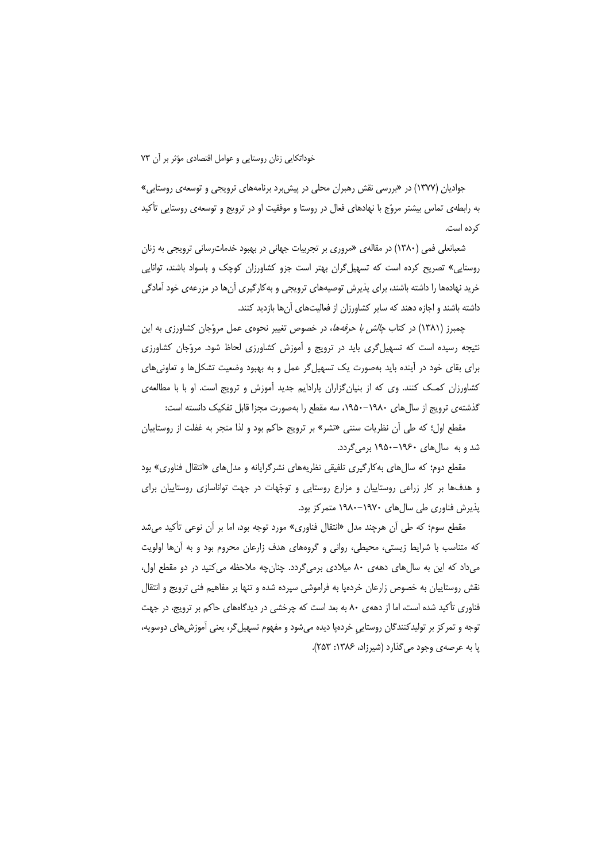جوادیان (۱۳۷۷) در «بررسی نقش رهبران محلی در پیش برد برنامههای ترویجی و توسعه ی روستایی» به رابطهی تماس بیشتر مروّج با نهادهای فعال در روستا و موفقیت او در ترویج و توسعهی روستایی تأکید کرده است.

شعبانعلی فمی (۱۳۸۰) در مقالهی «مروری بر تجربیات جهانی در بهبود خدماترسانی ترویجی به زنان روستایی» تصریح کرده است که تسهیل گران بهتر است جزو کشاورزان کوچک و باسواد باشند، توانایی خرید نهادهها را داشته باشند، برای پذیرش توصیههای ترویجی و بهکارگیری آنها در مزرعهی خود آمادگی داشته باشند و اجازه دهند که سایر کشاورزان از فعالیتهای آنها بازدید کنند.

چمبرز (۱۳۸۱) در کتاب *چالش با حرفهها*، در خصوص تغییر نحوهی عمل مروّجان کشاورزی به این نتیجه رسیده است که تسهیل گری باید در ترویج و آموزش کشاورزی لحاظ شود. مروّجان کشاورزی برای بقای خود در آینده باید بهصورت یک تسهیل گر عمل و به بهبود وضعیت تشکلها و تعاونیهای کشاورزان کمک کنند. وی که از بنیانگزاران پارادایم جدید آموزش و ترویج است. او با با مطالعهی گذشتهی ترویج از سال های ۱۹۸۰–۱۹۵۰، سه مقطع را بهصورت مجزا قابل تفکیک دانسته است:

مقطع اول؛ كه طي أن نظريات سنتي «نشر» بر ترويج حاكم بود و لذا منجر به غفلت از روستاييان شد و به سال های ۱۹۶۰–۱۹۵۰ برمی گردد.

مقطع دوم؛ که سالهای بهکارگیری تلفیقی نظریههای نشرگرایانه و مدلهای «انتقال فناوری» بود و هدفها بر کار زراعی روستاییان و مزارع روستایی و توجّهات در جهت تواناسازی روستاییان برای پذیرش فناوری طی سالهای ۱۹۷۰–۱۹۸۰ متمرکز بود.

مقطع سوم؛ که طی آن هرچند مدل «انتقال فناوری» مورد توجه بود، اما بر آن نوعی تأکید میشد که متناسب با شرایط زیستی، محیطی، روانی و گروههای هدف زارعان محروم بود و به آنها اولویت می داد که این به سال های دههی ۸۰ میلادی برمی گردد. چنان چه ملاحظه می کنید در دو مقطع اول، نقش روستاییان به خصوص زارعان خردهیا به فراموشی سپرده شده و تنها بر مفاهیم فنی ترویج و انتقال فناوری تأکید شده است، اما از دههی ۸۰ به بعد است که چرخشی در دیدگاههای حاکم بر ترویج، در جهت توجه و تمرکز بر تولیدکنندگان روستایی خردهپا دیده میشود و مفهوم تسهیل گر، یعنی آموزش های دوسویه، پا به عرصهی وجود میگذارد (شیرزاد، ۱۳۸۶: ۲۵۳).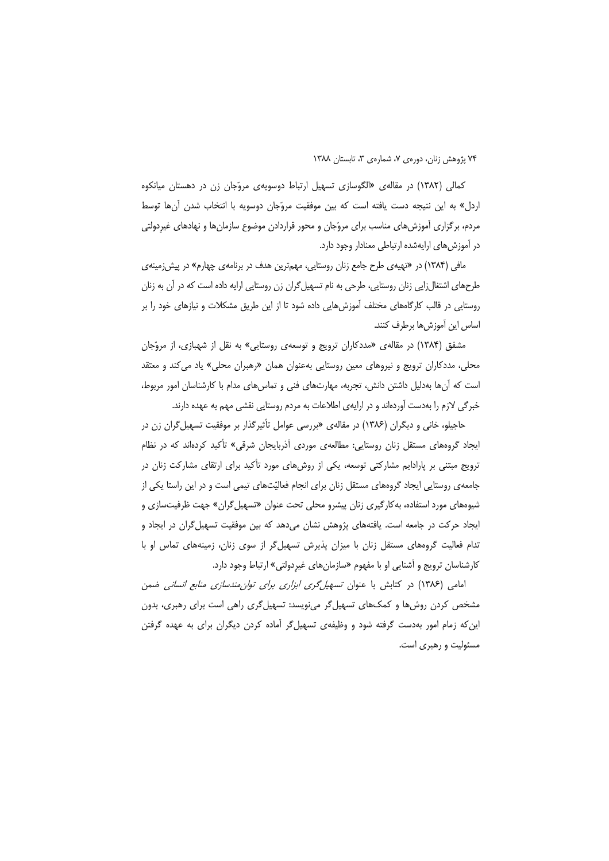کمالی (۱۳۸۲) در مقالهی «الگوسازی تسهیل ارتباط دوسویهی مروّجان زن در دهستان میانکوه اردل» به این نتیجه دست یافته است که بین موفقیت مروّجان دوسویه با انتخاب شدن آنها توسط مردم، برگزاری آموزشهای مناسب برای مروّجان و محور قراردادن موضوع سازمانها و نهادهای غیردولتی در آموزش های ارایهشده ارتباطی معنادار وجود دارد.

مافی (۱۳۸۴) در «تهیهی طرح جامع زنان روستایی، مهمترین هدف در برنامهی چهارم» در پیش زمینهی طرحهای اشتغال;ایی زنان روستایی، طرحی به نام تسهیل گران زن روستایی ارایه داده است که در آن به زنان روستایی در قالب کارگاههای مختلف آموزشهایی داده شود تا از این طریق مشکلات و نیازهای خود را بر اساس این آموزشها برطرف کنند.

مشفق (۱۳۸۴) در مقالهی «مددکاران ترویج و توسعهی روستایی» به نقل از شهبازی، از مروّجان محلی، مددکاران ترویج و نیروهای معین روستایی بهعنوان همان «رهبران محلی» یاد می کند و معتقد است که آنها بهدلیل داشتن دانش، تجربه، مهارتهای فنی و تماسهای مدام با کارشناسان امور مربوط، خبرگی لازم را بهدست آوردهاند و در ارایهی اطلاعات به مردم روستایی نقشی مهم به عهده دارند.

حاجیلو، خانی و دیگران (۱۳۸۶) در مقالهی «بررسی عوامل تأثیرگذار بر موفقیت تسهیل *گ*ران زن در ایجاد گروههای مستقل زنان روستایی: مطالعهی موردی آذربایجان شرقی» تأکید کردهاند که در نظام ترویج مبتنی بر پارادایم مشارکتی توسعه، یکی از روشهای مورد تأکید برای ارتقای مشارکت زنان در جامعه ی روستایی ایجاد گروههای مستقل زنان برای انجام فعالیّتهای تیمی است و در این راستا یکی از شیوههای مورد استفاده، به کارگیری زنان پیشرو محلی تحت عنوان «تسهیل گران» جهت ظرفیتسازی و ایجاد حرکت در جامعه است. یافتههای پژوهش نشان میدهد که بین موفقیت تسهیل گران در ایجاد و تدام فعالیت گروههای مستقل زنان با میزان پذیرش تسهیلگر از سوی زنان، زمینههای تماس او با کارشناسان ترویج و آشنایی او با مفهوم «سازمانهای غیردولتی» ارتباط وجود دارد.

امامی (۱۳۸۶) در کتابش با عنوان *تسهیل گری ابزاری برای توان مندسازی منابع انسانی* ضمن مشخص کردن روشها و کمکهای تسهیلگر مینویسد: تسهیلگری راهی است برای رهبری، بدون این که زمام امور بهدست گرفته شود و وظیفهی تسهیلگر آماده کردن دیگران برای به عهده گرفتن مسئولیت و رهبری است.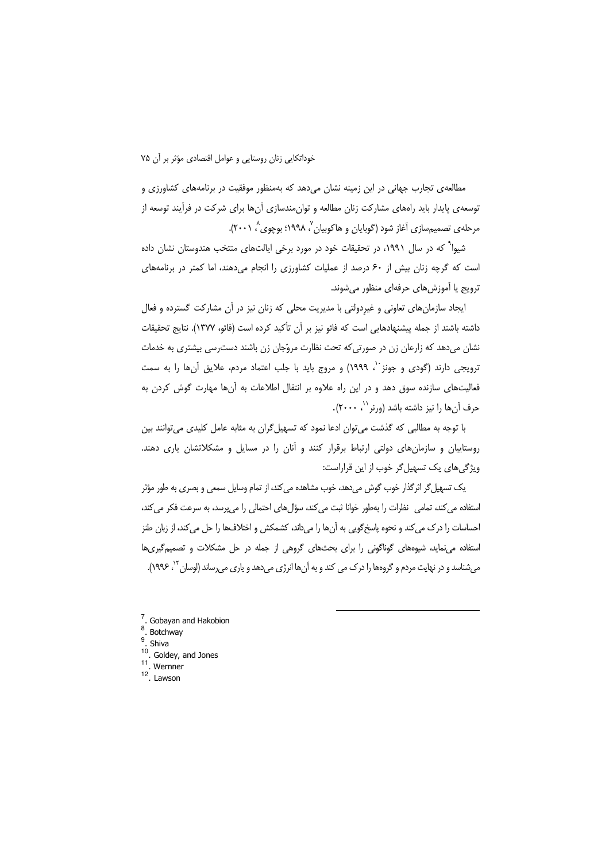خوداتكايي زنان روستايي و عوامل اقتصادي مؤثر بر آن ۷۵

مطالعهی تجارب جهانی در این زمینه نشان میدهد که بهمنظور موفقیت در برنامههای کشاورزی و توسعه ی پایدار باید راههای مشارکت زنان مطالعه و توان،مندسازی آنها برای شرکت در فرآیند توسعه از مرحله ی تصمیمسازی آغاز شود (گوبایان و هاکوبیان ٬ ۱۹۹۸؛ بوچوی ٬ ۲۰۰۱).

شیوا<sup>۹</sup> که در سال ۱۹۹۱، در تحقیقات خود در مورد برخی ایالتهای منتخب هندوستان نشان داده است که گرچه زنان بیش از ۶۰ درصد از عملیات کشاورزی را انجام می دهند، اما کمتر در برنامههای ترويج يا آموزش هاي حرفهاي منظور مي شوند.

ایجاد سازمانهای تعاونی و غیردولتی با مدیریت محلی که زنان نیز در آن مشارکت گسترده و فعال داشته باشند از جمله پیشنهادهایی است که فائو نیز بر آن تأکید کرده است (فائو، ۱۳۷۷). نتایج تحقیقات نشان میدهد که زارعان زن در صورتی که تحت نظارت مروّجان زن باشند دست رسی بیشتری به خدمات ترويجي دارند (گودي و جونز ``، ١٩٩٩) و مروج بايد با جلب اعتماد مردم، علايق آنها را به سمت فعالیتهای سازنده سوق دهد و در این راه علاوه بر انتقال اطلاعات به آنها مهارت گوش کردن به حرف آنها را نیز داشته باشد (ورنر``، ۲۰۰۰).

با توجه به مطالبی که گذشت میتوان ادعا نمود که تسهیل گران به مثابه عامل کلیدی میتوانند بین روستاییان و سازمانهای دولتی ارتباط برقرار کنند و آنان را در مسایل و مشکلاتشان یاری دهند. ویژگی های یک تسهیل گر خوب از این قراراست:

یک تسهیل گر اثر گذار خوب گوش میدهد، خوب مشاهده می کند، از تمام وسایل سمعی و بصری به طور مؤثر استفاده می کند، تمامی نظرات را بهطور خوانا ثبت می کند، سؤالهای احتمالی را میپرسد، به سرعت فکر می کند، احساسات را درک می کند و نحوه پاسخ گویی به آنها را می داند، کشمکش و اختلافها را حل می کند، از زبان طنز استفاده می نماید، شیوههای گوناگونی را برای بحثهای گروهی از جمله در حل مشکلات و تصمیم گیریها م شناسد و در نهایت مردم و گروهها را درک می کند و به آنها انرژی میدهد و یاری میرساند (لوسان <sup>۱۲</sup>، ۱۹۹۶).

 $7.$  Gobayan and Hakobion

 $\int_{9}^{8}$ . Botchway

Shiva

 $10$ Goldey, and Jones

 $11.$  Wernner

 $12$ . Lawson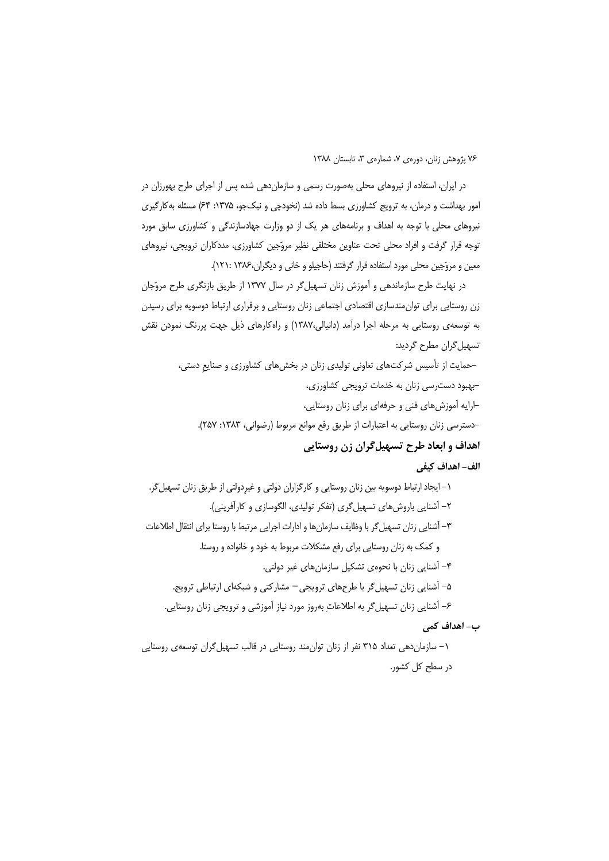در ایران، استفاده از نیروهای محلی بهصورت رسمی و سازمان دهی شده پس از اجرای طرح بهورزان در امور بهداشت و درمان، به ترویج کشاورزی بسط داده شد (نخودچی و نیکجو، ۱۳۷۵: ۶۴) مسئله به کارگیری نیروهای محلی با توجه به اهداف و برنامههای هر یک از دو وزارت جهادسازندگی و کشاورزی سابق مورد توجه قرار گرفت و افراد محلی تحت عناوین مختلفی نظیر مروّجین کشاورزی، مددکاران ترویجی، نیروهای معین و مروّجین محلی مورد استفاده قرار گرفتند (حاجیلو و خانی و دیگران،۱۳۸۶ :۱۲۱).

در نهایت طرح سازماندهی و آموزش زنان تسهیل گر در سال ۱۳۷۷ از طریق بازنگری طرح مروّجان زن روستایی برای توان مندسازی اقتصادی اجتماعی زنان روستایی و برقراری ارتباط دوسویه برای رسیدن به توسعهی روستایی به مرحله اجرا درآمد (دانیالی،۱۳۸۷) و راهکارهای ذیل جهت پررنگ نمودن نقش تسهيل گران مطرح گرديد:

-حمایت از تأسیس شرکتهای تعاونی تولیدی زنان در بخشهای کشاورزی و صنایع دستی، -بهبود دسترسی زنان به خدمات ترویجی کشاورزی، -ارایه آموزشهای فنی و حرفهای برای زنان روستایی، -دسترسی زنان روستایی به اعتبارات از طریق رفع موانع مربوط (رضوانی، ۱۳۸۳: ۲۵۷). اهداف و ابعاد طرح تسهیل گران زن روستایی الف- اهداف كيفي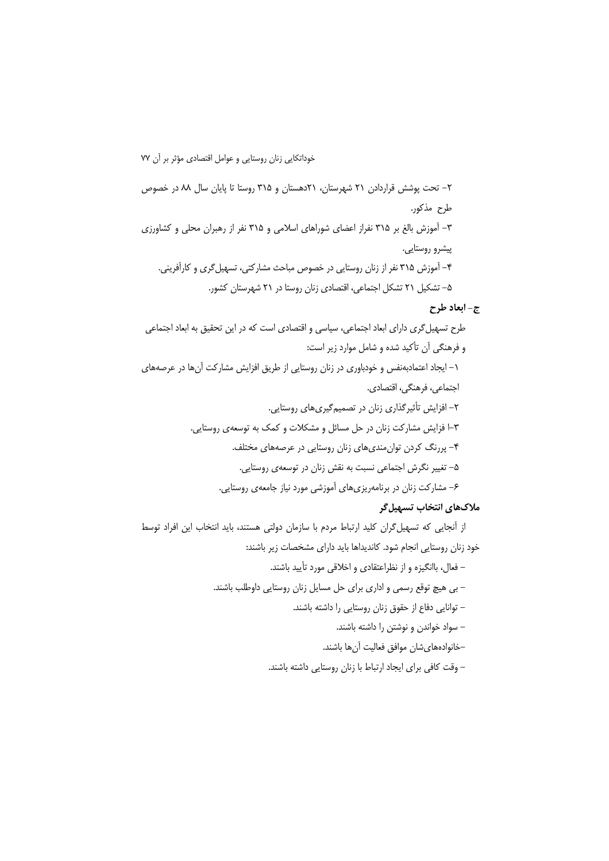۲- تحت یوشش قراردادن ۲۱ شهرستان، ۲۱دهستان و ۳۱۵ روستا تا پایان سال ۸۸ در خصوص طرح مذكور. ۳– آموزش بالغ بر ۳۱۵ نفراز اعضای شوراهای اسلامی و ۳۱۵ نفر از رهبران محلی و کشاورزی پیشرو روستایی. ۴- آموزش ۳۱۵ نفر از زنان روستایی در خصوص مباحث مشارکتی، تسهیل گری و کارآفرینی. ۵– تشکیل ۲۱ تشکل اجتماعی، اقتصادی زنان روستا در ۲۱ شهرستان کشور.

## ج- ابعاد طرح

طرح تسهیل گری دارای ابعاد اجتماعی، سیاسی و اقتصادی است که در این تحقیق به ابعاد اجتماعی و فرهنگی آن تأکید شده و شامل موارد زیر است: ١– ايجاد اعتمادبهنفس و خودباوري در زنان روستايي از طريق افزايش مشاركت آنها در عرصههاي اجتماعي، فرهنگي، اقتصادي. ۲- افزایش تأثیرگذاری زنان در تصمیمگیریهای روستایی. ۳–ا فزایش مشارکت زنان در حل مسائل و مشکلات و کمک به توسعهی روستایی. ۴- پررنگ کردن توان مندیهای زنان روستایی در عرصههای مختلف. ۵– تغییر نگرش اجتماعی نسبت به نقش زنان در توسعهی روستایی. ۶– مشارکت زنان در برنامهریزیهای آموزشی مورد نیاز جامعهی روستایی. ملاکهای انتخاب تسهیل گر

از آنجایی که تسهیل گران کلید ارتباط مردم با سازمان دولتی هستند، باید انتخاب این افراد توسط خود زنان روستایی انجام شود. کاندیداها باید دارای مشخصات زیر باشند:

– فعال، باانگیزه و از نظراعتقادی و اخلاقی مورد تأیید باشند.

– بی هیچ توقع رسمی و اداری برای حل مسایل زنان روستایی داوطلب باشند.

– توانایی دفاع از حقوق زنان روستایی را داشته باشند.

– سواد خواندن و نوشتن را داشته باشند.

–خانوادههاى شان موافق فعاليت آنها باشند.

– وقت كافي براي ايجاد ارتباط با زنان روستايي داشته باشند.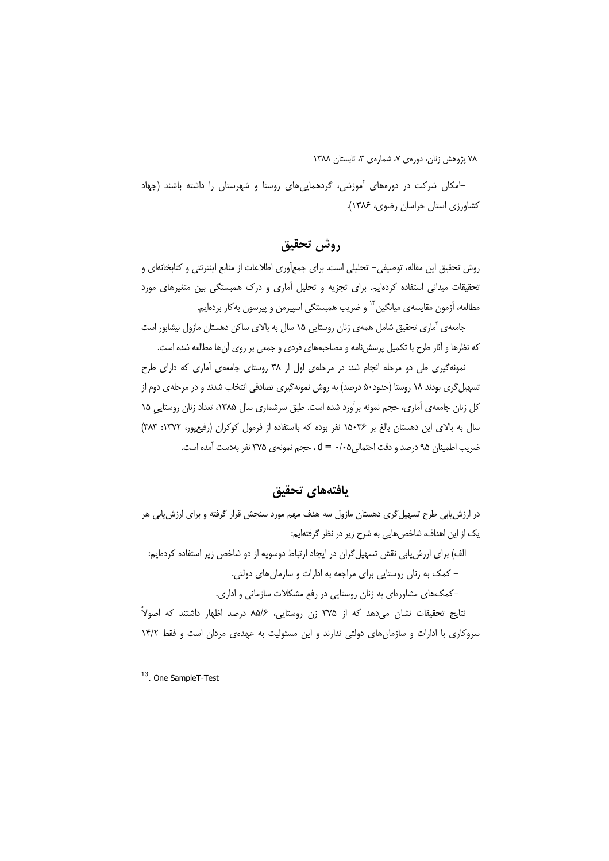-امکان شرکت در دورههای آموزشی، گردهماییهای روستا و شهرستان را داشته باشند (جهاد کشاورزی استان خراسان رضوی، ۱۳۸۶).

# روش تحقيق

روش تحقیق این مقاله، توصیفی– تحلیلی است. برای جمعآوری اطلاعات از منابع اینترنتی و کتابخانهای و تحقیقات میدانی استفاده کردهایم. برای تجزیه و تحلیل آماری و درک همبستگی بین متغیرهای مورد مطالعه، آزمون مقایسه ی میانگین <sup>۱۳</sup> و ضریب همبستگی اسپیرمن و پیرسون به کار بردهایم.

جامعهی آماری تحقیق شامل همهی زنان روستایی ۱۵ سال به بالای ساکن دهستان مازول نیشابور است كه نظرها و آثار طرح با تكميل پرسش نامه و مصاحبههاى فردى و جمعى بر روى آنها مطالعه شده است.

نمونهگیری طی دو مرحله انجام شد: در مرحلهی اول از ۳۸ روستای جامعهی آماری که دارای طرح تسهیل گری بودند ۱۸ روستا (حدود۵۰ درصد) به روش نمونهگیری تصادفی انتخاب شدند و در مرحلهی دوم از کل زنان جامعهی آماری، حجم نمونه برآورد شده است. طبق سرشماری سال ۱۳۸۵، تعداد زنان روستایی ۱۵ سال به بالای این دهستان بالغ بر ۱۵۰۳۶ نفر بوده که بااستفاده از فرمول کوکران (رفیعپور، ۱۳۷۲: ۳۸۳) ضريب اطمينان ٩۵ درصد و دقت احتمالي d = ٠/٠۵، حجم نمونه ي ٣٧۵ نفر بهدست آمده است.

# يافتههاى تحقيق

در ارزش یابی طرح تسهیل گری دهستان مازول سه هدف مهم مورد سنجش قرار گرفته و برای ارزش یابی هر یک از این اهداف، شاخص هایی به شرح زیر در نظر گرفتهایم: الف) برای ارزش یابی نقش تسهیل گران در ایجاد ارتباط دوسویه از دو شاخص زیر استفاده کردهایم:

– کمک به زنان روستایی برای مراجعه به ادارات و سازمان های دولتی.

-کمکهای مشاورهای به زنان روستایی در رفع مشکلات سازمانی و اداری.

نتایج تحقیقات نشان می دهد که از ۳۷۵ زن روستایی، ۸۵/۶ درصد اظهار داشتند که اصولاً سروکاری با ادارات و سازمان های دولتی ندارند و این مسئولیت به عهدهی مردان است و فقط ۱۴/۲

<sup>13</sup>. One SampleT-Test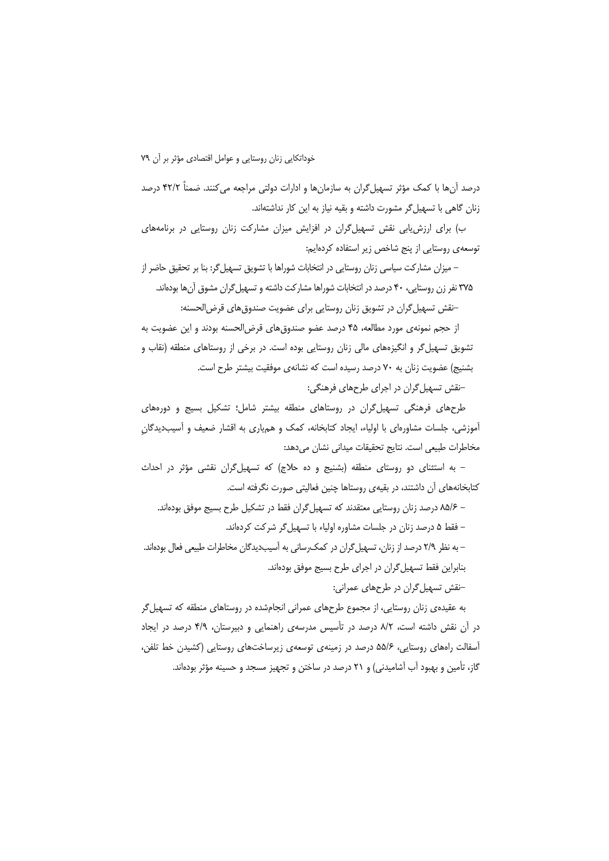درصد آنها با کمک مؤثر تسهیل گران به سازمانها و ادارات دولتی مراجعه می کنند. ضمناً ۴۲/۲ درصد زنان گاهی با تسهیل گر مشورت داشته و بقیه نیاز به این کار نداشتهاند.

ب) برای ارزش یابی نقش تسهیل گران در افزایش میزان مشارکت زنان روستایی در برنامههای توسعه ی روستایی از پنج شاخص زیر استفاده کردهایم:

– میزان مشارکت سیاسی زنان روستایی در انتخابات شوراها با تشویق تسهیل¢ر: بنا بر تحقیق حاضر از ۳۷۵ نفر زن روستایی، ۴۰ درصد در انتخابات شوراها مشارکت داشته و تسهیل گران مشوق آنها بودهاند. –نقش تسهیل گران در تشویق زنان روستایی برای عضویت صندوق های قرض الحسنه:

از حجم نمونهی مورد مطالعه، ۴۵ درصد عضو صندوق های قرضالحسنه بودند و این عضویت به تشویق تسهیل گر و انگیزههای مالی زنان روستایی بوده است. در برخی از روستاهای منطقه (نقاب و بشنیج) عضویت زنان به ۷۰ درصد رسیده است که نشانهی موفقیت بیشتر طرح است.

–نقش تسهیل گران در اجرای طرحهای فرهنگی:

طرحهای فرهنگی تسهیل گران در روستاهای منطقه بیشتر شامل؛ تشکیل بسیج و دورههای آموزشی، جلسات مشاورهای با اولیاء، ایجاد کتابخانه، کمک و همیاری به اقشار ضعیف و آسیبدیدگان مخاطرات طبیعی است. نتایج تحقیقات میدانی نشان میدهد:

- به استثنای دو روستای منطقه (بشنیج و ده حلاج) که تسهیل گران نقشی مؤثر در احداث کتابخانههای آن داشتند، در بقیهی روستاها چنین فعالیتی صورت نگرفته است.

– ۸۵/۶ درصد زنان روستایی معتقدند که تسهیل گران فقط در تشکیل طرح بسیج موفق بودهاند. – فقط ۵ درصد زنان در جلسات مشاوره اولیاء با تسهیل گر شرکت کردهاند. – به نظر ٢/٩ درصد از زنان، تسهیل گران در کمک رسانی به آسیبدیدگان مخاطرات طبیعی فعال بودهاند.

بنابراین فقط تسهیل گران در اجرای طرح بسیج موفق بودهاند.

-نقش تسهیل گران در طرحهای عمرانی:

به عقیدهی زنان روستایی، از مجموع طرحهای عمرانی انجامشده در روستاهای منطقه که تسهیل گر در آن نقش داشته است، ۸/۲ درصد در تأسیس مدرسهی راهنمایی و دبیرستان، ۴/۹ درصد در ایجاد آسفالت راههای روستایی، ۵۵/۶ درصد در زمینهی توسعهی زیرساختهای روستایی (کشیدن خط تلفن، گاز، تأمین و بهبود آب آشامیدنی) و ۲۱ درصد در ساختن و تجهیز مسجد و حسینه مؤثر بودهاند.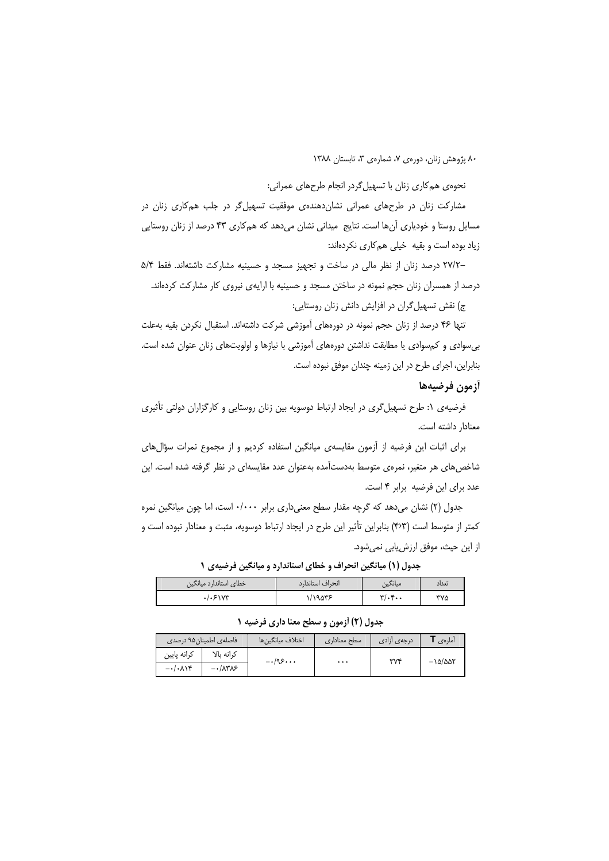نحوهی هم کاری زنان با تسهیل گردر انجام طرحهای عمرانی:

مشارکت زنان در طرحهای عمرانی نشان دهندهی موفقیت تسهیل گر در جلب هم کاری زنان در مسایل روستا و خودیاری آنها است. نتایج ِ میدانی نشان می دهد که هم کاری ۴۳ درصد از زنان روستایی زیاد بوده است و بقیه خیلی هم کاری نکردهاند:

-٢٧/٢ درصد زنان از نظر مالی در ساخت و تجهیز مسجد و حسینیه مشارکت داشتهاند. فقط ۵/۴ درصد از همسران زنان حجم نمونه در ساختن مسجد و حسینیه با ارایهی نیروی کار مشارکت کردهاند. ج) نقش تسهیل گران در افزایش دانش زنان روستایی:

تنها ۴۶ درصد از زنان حجم نمونه در دورههای آموزشی شرکت داشتهاند. استقبال نکردن بقیه بهعلت بی سوادی و کم سوادی یا مطابقت نداشتن دورههای آموزشی با نیازها و اولویتهای زنان عنوان شده است. بنابراین، اجرای طرح در این زمینه چندان موفق نبوده است.

أزمون فرضيهها

فرضیهی ۱: طرح تسهیل گری در ایجاد ارتباط دوسویه بین زنان روستایی و کارگزاران دولتی تأثیری معنادار داشته است.

برای اثبات این فرضیه از آزمون مقایسهی میانگین استفاده کردیم و از مجموع نمرات سؤال های شاخصهای هر متغیر، نمرهی متوسط بهدستآمده بهعنوان عدد مقایسهای در نظر گرفته شده است. این عدد برای این فرضیه برابر ۴ است.

جدول (۲) نشان میدهد که گرچه مقدار سطح معنیداری برابر ۰/۰۰۰ است، اما چون میانگین نمره کمتر از متوسط است (۴۰۳) بنابراین تأثیر این طرح در ایجاد ارتباط دوسویه، مثبت و معنادار نبوده است و از این حیث، موفق ارزش یابی نمی شود.

| _ _ _ _ _ _            | --               | .                         |       |
|------------------------|------------------|---------------------------|-------|
| خطای استاندارد میانگین | انحراف استاندارد | <b>میانگین</b>            | تعداد |
| .1.51Y                 | ۱/۱۹۵۳۶          | $\mathbf{r}/\mathbf{F}$ . | ۳۷۵   |

حدول (۱) میانگین انحراف و خطای استاندارد و میانگین فرضیهی ۱

#### حدول (٢) أزمون و سطح معنا داري فرضيه ١

|                                | فاصلهی اطمینان۹۵ درصدی                       | اختلاف ميانگين,ها | سطح معنادارى | درج <i>ه ی</i> آزاد <i>ی</i> | امارەي                   |
|--------------------------------|----------------------------------------------|-------------------|--------------|------------------------------|--------------------------|
| كرانه پايين                    | ک انه بالا                                   | $-1.95$           |              | ۳۷۴                          | $-\frac{\delta}{\delta}$ |
| $-\cdot/\cdot$ $\wedge \wedge$ | $ \cdot$ $/$ $\wedge$ $\vee$ $\wedge$ $\sim$ |                   | $\cdots$     |                              |                          |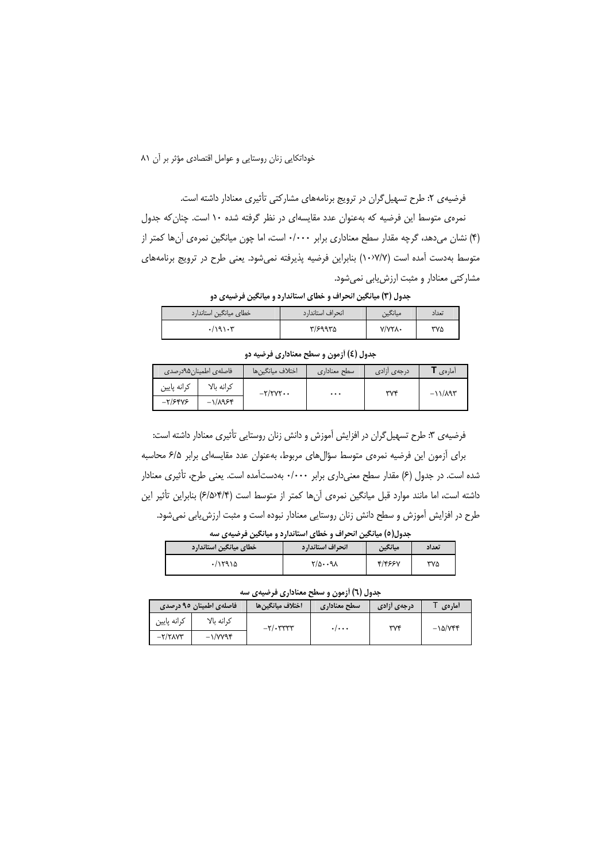خوداتكايي زنان روستايي و عوامل اقتصادي مؤثر بر أن ٨١

فرضیهی ۲: طرح تسهیل گران در ترویج برنامههای مشارکتی تأثیری معنادار داشته است. نمرهی متوسط این فرضیه که بهعنوان عدد مقایسهای در نظر گرفته شده ۱۰ است. چنان که جدول (۴) نشان میدهد، گرچه مقدار سطح معناداری برابر ۰/۰۰۰ است، اما چون میانگین نمرهی آنها کمتر از متوسط بهدست آمده است (١٠٧٧/٧) بنابراين فرضيه پذيرفته نمى شود. يعنى طرح در ترويج برنامههاى مشارکتی معنادار و مثبت ارزش یابی نمی شود.

جدول (۳) میانگین انحراف و خطای استاندارد و میانگین فرضیهی دو

| خطای میانگین استاندارد | انحراف استاندارد | َ میانگین     | تعداد |
|------------------------|------------------|---------------|-------|
| .7191.7                | ۳/۶۹۹۳۵          | $Y/YY\Lambda$ | ۳۷۵   |

جدول (٤) آزمون و سطح معناداري فرضيه دو

|             | ٔ فاصله <i>ی</i> اطمینان ۹۵درصدی | اختلاف ميانگين ها            | سطح معناداري | - درجه ی آزادی | أمارەي           |
|-------------|----------------------------------|------------------------------|--------------|----------------|------------------|
| كرانه پايين | ک انه بالا                       | $-\tau/\tau\gamma\tau\cdots$ | $\cdots$     | ۳۷۴            | $-11/\lambda$ 95 |
| $-7/5895$   | $-\frac{1}{\sqrt{2}}$            |                              |              |                |                  |

فرضیهی ۳: طرح تسهیل گران در افزایش آموزش و دانش زنان روستایی تأثیری معنادار داشته است: برای آزمون این فرضیه نمرهی متوسط سؤالهای مربوط، بهعنوان عدد مقایسهای برابر ۶/۵ محاسبه شده است. در جدول (۶) مقدار سطح معنی داری برابر ۰/۰۰۰ بهدستآمده است. یعنی طرح، تأثیری معنادار داشته است، اما مانند موارد قبل میانگین نمرهی آنها کمتر از متوسط است (۶/۵/۴/۴) بنابراین تأثیر این طرح در افزایش آموزش و سطح دانش زنان روستایی معنادار نبوده است و مثبت ارزش یابی نمیشود.

جدول(٥) میانگین انحراف و خطای استاندارد و میانگین فرضیهی سه

| خطاي ميانگين استاندارد | انحراف استاندارد | ميانگين | تعداد |
|------------------------|------------------|---------|-------|
| ۱۱۲۹۱۵                 | 1/0.011          | 4/4554  | ۳۷۵   |

جدول (٦) أزمون و سطح معناداري فرضيهي سه

|                               | فاصلهی اطمینان ۹۵ درصدی | اختلاف ميانگين ها              | سطح معنادارى | درجەی أزادی | أمارهي                 |
|-------------------------------|-------------------------|--------------------------------|--------------|-------------|------------------------|
| كرانه پايين                   | ک انه بالا              | $-\tau/2$ . $\tau\tau\tau\tau$ | . /          | ۳۷۴         | $-\lambda \Delta/ VFF$ |
| $-\tau/\tau\lambda\gamma\tau$ | $-1/VV$ ۹۴              |                                |              |             |                        |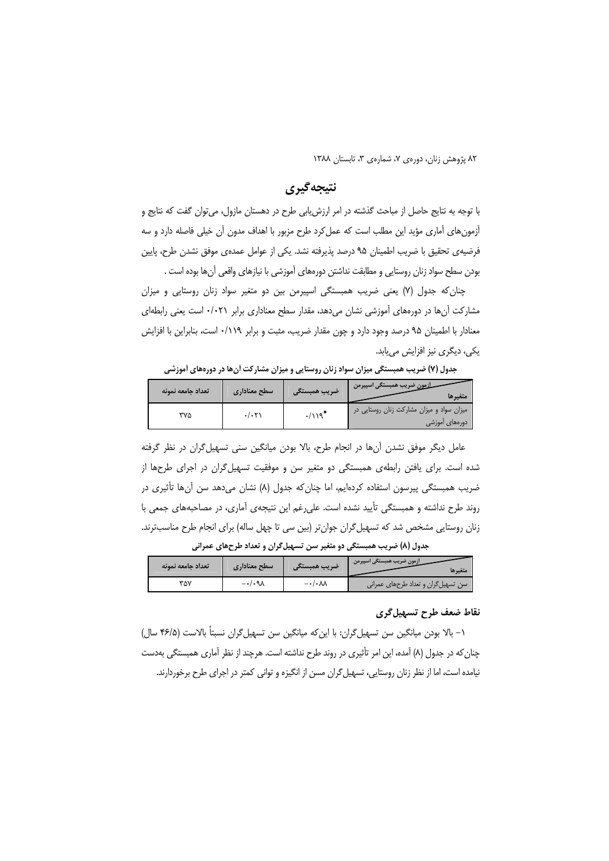٨٢ پژوهش زنان، دورەی ٧، شمارەی ٣، تابستان ١٣٨٨

# نتيجه گيري

با توجه به نتایج حاصل از مباحث گذشته در امر ارزش یابی طرح در دهستان مازول، می توان گفت که نتایج و آزمونهای آماری مؤید این مطلب است که عمل کرد طرح مزبور با اهداف مدون آن خیلی فاصله دارد و سه فرضيهي تحقيق با ضريب اطمينان ٩۵ درصد پذيرفته نشد. يكي از عوامل عمدهي موفق نشدن طرح، پايين بودن سطح سواد زنان روستايي و مطابقت نداشتن دورههاي آموزشي با نيازهاي واقعي آنها بوده است .

چنان که جدول (۷) یعنی ضریب همبستگی اسپیرمن بین دو متغیر سواد زنان روستایی و میزان مشارکت آنها در دورههای آموزشی نشان می دهد، مقدار سطح معناداری برابر ۰/۰۲۱ است یعنی رابطهای معنادار با اطمینان ۹۵ درصد وجود دارد و چون مقدار ضریب، مثبت و برابر ۰/۱۱۹ است، بنابراین با افزایش یکی، دیگری نیز افزایش مییابد.

| تعداد حامعه نمونه | سطح معناداري | ضريب همبستگي | متغيرها                                                     |
|-------------------|--------------|--------------|-------------------------------------------------------------|
| "۷۵               | .7.5         | $\cdot$ /119 | میزان سواد و میزان مشارکت زنان روستایی در<br>دورەھاي آموزشي |

جدول (۷) ضریب همبستگی میزان سواد زنان روستایی و میزان مشارکت آنها در دورههای آموزشی

عامل دیگر موفق نشدن آنها در انجام طرح، بالا بودن میانگین سنی تسهیل گران در نظر گرفته شده است. برای یافتن رابطهی همبستگی دو متغیر سن و موفقیت تسهیل\$ران در اجرای طرحها از ضریب همبستگی پیرسون استفاده کردهایم، اما چنان که جدول (۸) نشان میدهد سن آنها تأثیری در روند طرح نداشته و همبستگی تأیید نشده است. علی(غم این نتیجهی آماری، در مصاحبههای جمعی با زنان روستایی مشخص شد که تسهیل گران جوانتر (بین سی تا چهل ساله) برای انجام طرح مناسبترند.

جدول (۸) ضریب همبستگی دو متغیر سن تسهیل گران و تعداد طرحهای عمرانی

| تعداد جامعه نمونه | سطح معناداري      | ضريب همبستكر                 | أزمون ضريب همبستكي اسپيرمن<br>متغيرها |
|-------------------|-------------------|------------------------------|---------------------------------------|
| ۳۵۷               | $-\cdot/\cdot$ ۹۸ | $-\cdot/\cdot\lambda\lambda$ | اسن تسهیل گران و تعداد طرحهای عمرانی  |

### نقاط ضعف طرح تسهيل گري

١– بالا بودن ميانگين سن تسهيل¢ران: با اين كه ميانگين سن تسهيل¢ران نسبتاً بالاست (۴۶/۵ سال) چنان که در جدول (۸) آمده، این امر تأثیری در روند طرح نداشته است. هرچند از نظر آماری همبستگی بهدست نیامده است، اما از نظر زنان روستایی، تسهیل گران مسن از انگیزه و توانی کمتر در اجرای طرح برخوردارند.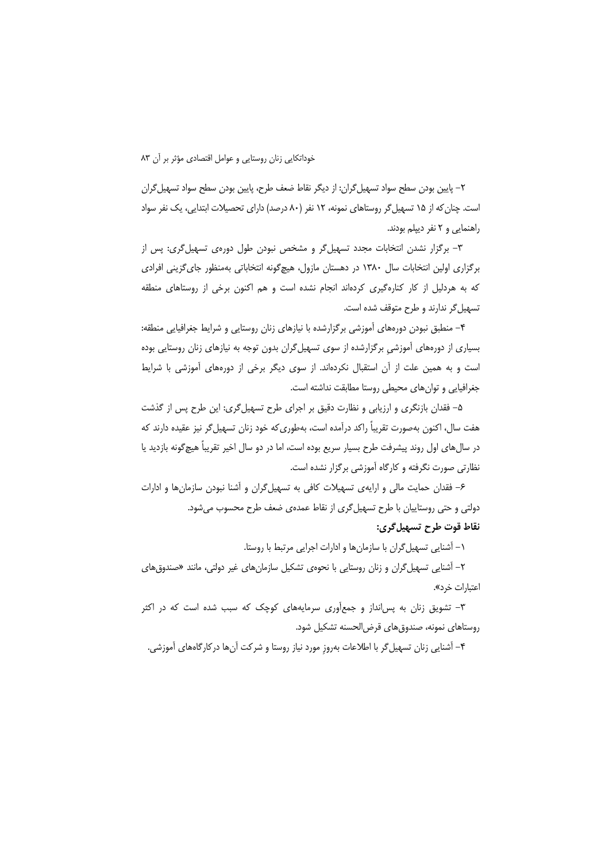### خوداتكايي زنان روستايي وعوامل اقتصادي مؤثر بر أن ٨٣

٢– پايين بودن سطح سواد تسهيل گران: از ديگر نقاط ضعف طرح، پايين بودن سطح سواد تسهيل گران است. چنان که از ۱۵ تسهیل گر روستاهای نمونه، ۱۲ نفر (۸۰ درصد) دارای تحصیلات ابتدایی، یک نفر سواد راهنمایی و ۲ نفر دیپلم بودند.

٣- برگزار نشدن انتخابات مجدد تسهیل گر و مشخص نبودن طول دورهی تسهیل گری: پس از برگزاری اولین انتخابات سال ۱۳۸۰ در دهستان مازول، هیچ گونه انتخاباتی بهمنظور جای گزینی افرادی که به هردلیل از کار کنارهگیری کردهاند انجام نشده است و هم اکنون برخی از روستاهای منطقه تسهیل گر ندارند و طرح متوقف شده است.

۴- منطبق نبودن دورههای آموزشی برگزارشده با نیازهای زنان روستایی و شرایط جغرافیایی منطقه: بسیاری از دورههای آموزشی برگزارشده از سوی تسهیل گران بدون توجه به نیازهای زنان روستایی بوده است و به همین علت از آن استقبال نکردهاند. از سوی دیگر برخی از دورههای آموزشی با شرایط جغرافیایی و توان های محیطی روستا مطابقت نداشته است.

۵– فقدان بازنگری و ارزیابی و نظارت دقیق بر اجرای طرح تسهیل گری: این طرح پس از گذشت هفت سال، اکنون بهصورت تقریباً راکد درآمده است، بهطوری که خود زنان تسهیل گر نیز عقیده دارند که در سالαای اول روند پیشرفت طرح بسیار سریع بوده است، اما در دو سال اخیر تقریباً هیچگونه بازدید یا نظارتی صورت نگرفته و کارگاه آموزشی برگزار نشده است.

۶– فقدان حمایت مالی و ارایهی تسهیلات کافی به تسهیل گران و آشنا نبودن سازمانها و ادارات دولتی و حتی روستاییان با طرح تسهیل گری از نقاط عمدهی ضعف طرح محسوب می شود. نقاط قوت طرح تسهيل گري:

۱– آشنایی تسهیل گران با سازمانها و ادارات اجرایی مرتبط با روستا.

۲– آشنایی تسهیل گران و زنان روستایی با نحوهی تشکیل سازمانهای غیر دولتی، مانند «صندوقهای اعتبارات خرد».

۳- تشویق زنان به پسانداز و جمعآوری سرمایههای کوچک که سبب شده است که در اکثر روستاهای نمونه، صندوق های قرض الحسنه تشکیل شود.

۴– آشنایی زنان تسهیل گر با اطلاعات بهروز مورد نیاز روستا و شرکت آنها درکارگاههای آموزشی.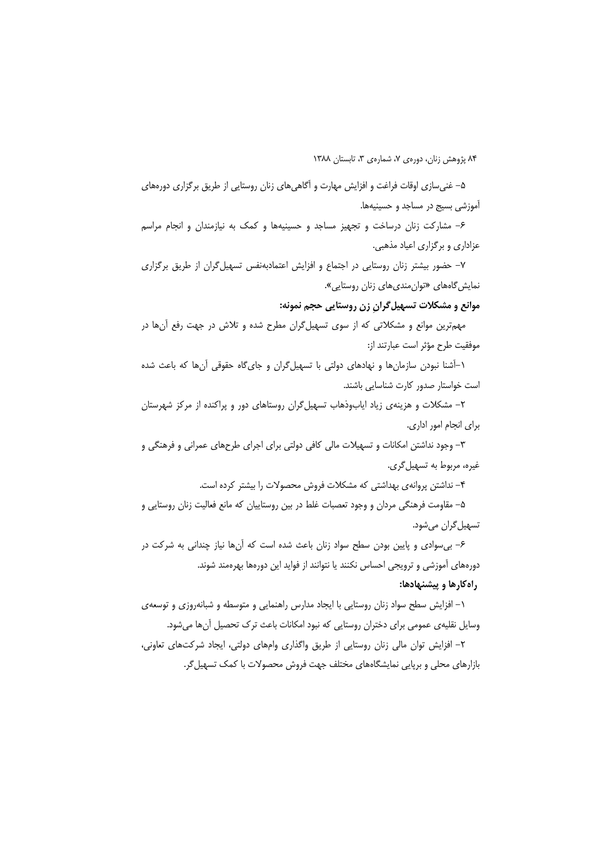۵– غنی سازی اوقات فراغت و افزایش مهارت و آگاهی های زنان روستایی از طریق برگزاری دورههای آموزشی بسیج در مساجد و حسینیهها.

۶– مشارکت زنان درساخت و تجهیز مساجد و حسینیهها و کمک به نیازمندان و انجام مراسم عزاداری و برگزاری اعیاد مذهبی.

۷- حضور بیشتر زنان روستایی در اجتماع و افزایش اعتمادبهنفس تسهیل گران از طریق برگزاری نمایش *گ*اههای «توان *مندی*های زنان روستایی».

موانع و مشکلات تسهیل گران زن روستایی حجم نمونه:

مهمترین موانع و مشکلاتی که از سوی تسهیلگران مطرح شده و تلاش در جهت رفع آنها در موفقيت طرح مؤثر است عبارتند از:

۱–آشنا نبودن سازمانها و نهادهای دولتی با تسهیل گران و جای گاه حقوقی آنها که باعث شده است خواستار صدور كارت شناسايي باشند.

۲– مشکلات و هزینهی زیاد ایابوذهاب تسهیل گران روستاهای دور و پراکنده از مرکز شهرستان برای انجام امور اداری.

۳– وجود نداشتن امکانات و تسهیلات مالی کافی دولتی برای اجرای طرحهای عمرانی و فرهنگی و غيره، مربوط به تسهيل گري.

۴– نداشتن پروانهی بهداشتی که مشکلات فروش محصولات را بیشتر کرده است.

۵– مقاومت فرهنگی مردان و وجود تعصبات غلط در بین روستاییان که مانع فعالیت زنان روستایی و تسهيل گران ميشود.

۶– بی سوادی و پایین بودن سطح سواد زنان باعث شده است که آنها نیاز چندانی به شرکت در دورههای آموزشی و ترویجی احساس نکنند یا نتوانند از فواید این دورهها بهرهمند شوند.

# راه کارها و پیشنهادها:

۱– افزایش سطح سواد زنان روستایی با ایجاد مدارس راهنمایی و متوسطه و شبانهروزی و توسعهی وسایل نقلیهی عمومی برای دختران روستایی که نبود امکانات باعث ترک تحصیل آنها میشود.

۲– افزایش توان مالی زنان روستایی از طریق واگذاری وامهای دولتی، ایجاد شرکتهای تعاونی، بازارهای محلی و برپایی نمایشگاههای مختلف جهت فروش محصولات با کمک تسهیل گر.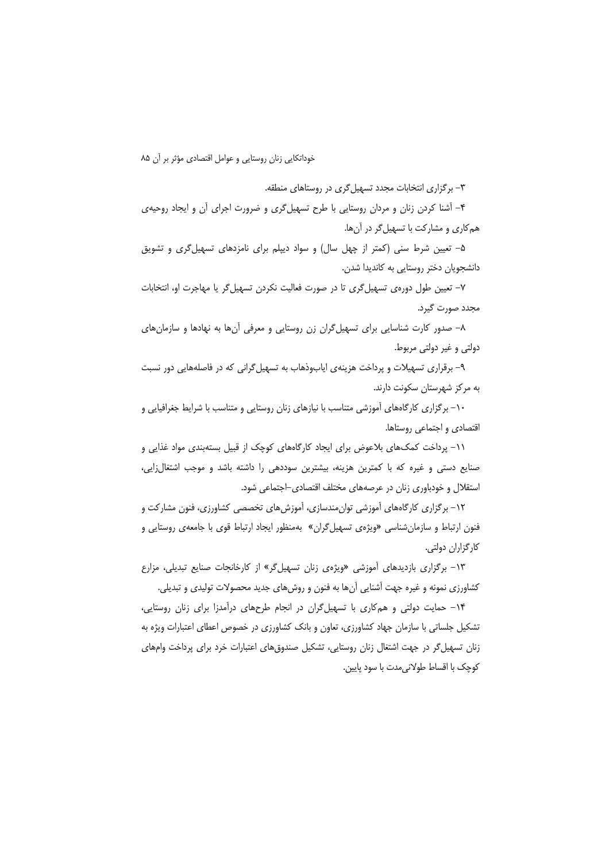خوداتكايي زنان روستايي و عوامل اقتصادي مؤثر بر آن ٨۵

۳- برگزاری انتخابات مجدد تسهیل گری در روستاهای منطقه.

۴– آشنا کردن زنان و مردان روستایی با طرح تسهیل¢ری و ضرورت اجرای آن و ایجاد روحیهی هم کاری و مشارکت با تسهیل گر در آنها.

۵– تعیین شرط سنی (کمتر از چهل سال) و سواد دیپلم برای نامزدهای تسهیل گری و تشویق دانشجویان دختر روستایی به کاندیدا شدن.

۷– تعیین طول دورهی تسهیل گری تا در صورت فعالیت نکردن تسهیل گر یا مهاجرت او، انتخابات مجدد صورت گیرد.

۸– صدور کارت شناسایی برای تسهیل گران زن روستایی و معرفی آنها به نهادها و سازمانهای دولتي و غير دولتي مربوط.

۹– برقراری تسهیلات و پرداخت هزینهی ایابوذهاب به تسهیل گرانی که در فاصلههایی دور نسبت به مرکز شهرستان سکونت دارند.

۱۰– برگزاری کارگاههای آموزشی متناسب با نیازهای زنان روستایی و متناسب با شرایط جغرافیایی و اقتصادی و اجتماعی روستاها.

١١- پرداخت كمكهاى بلاعوض براى ايجاد كارگاههاى كوچك از قبيل بستهبندى مواد غذايى و صنایع دستی و غیره که با کمترین هزینه، بیشترین سوددهی را داشته باشد و موجب اشتغالزایی، استقلال و خودباوری زنان در عرصههای مختلف اقتصادی-اجتماعی شود.

۱۲– برگزاری کارگاههای آموزشی توان،مندسازی، آموزشهای تخصصی کشاورزی، فنون مشارکت و فنون ارتباط و سازمانشناسی «ویژهی تسهیلگران» بهمنظور ایجاد ارتباط قوی با جامعهی روستایی و كارگزاران دولتى.

۱۳- برگزاری بازدیدهای آموزشی «ویژهی زنان تسهیل گر» از کارخانجات صنایع تبدیلی، مزارع کشاورزی نمونه و غیره جهت آشنایی آنها به فنون و روشهای جدید محصولات تولیدی و تبدیلی.

۱۴- حمایت دولتی و همکاری با تسهیل گران در انجام طرحهای درآمدزا برای زنان روستایی، تشکیل جلساتی با سازمان جهاد کشاورزی، تعاون و بانک کشاورزی در خصوص اعطای اعتبارات ویژه به زنان تسهیل گر در جهت اشتغال زنان روستایی، تشکیل صندوق های اعتبارات خرد برای پرداخت وامهای كوچك با اقساط طولاني مدت با سود پايين.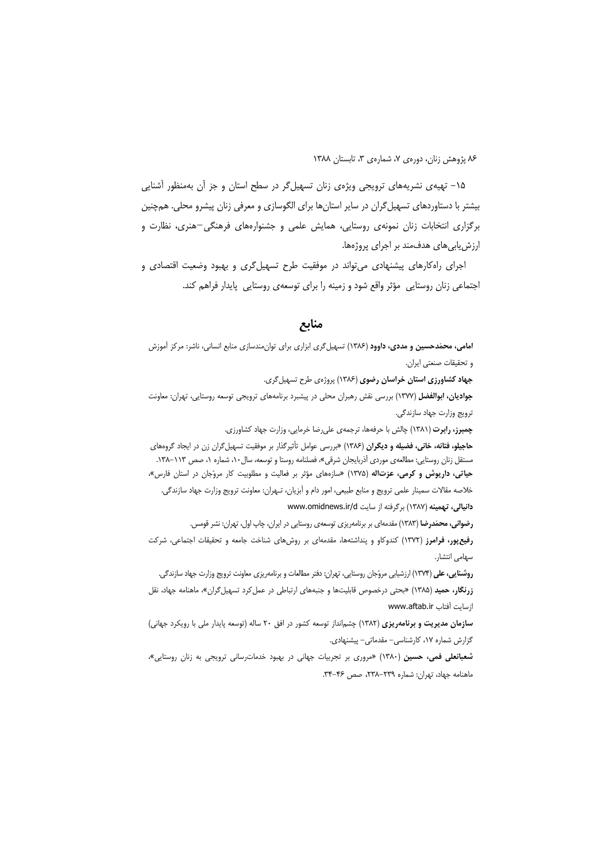۱۵– تهیه ی نشریههای ترویجی ویژهی زنان تسهیل گر در سطح استان و جز آن بهمنظور آشنایی بیشتر با دستاوردهای تسهیل گران در سایر استانها برای الگوسازی و معرفی زنان پیشرو محلی. همچنین برگزاری انتخابات زنان نمونهی روستایی، همایش علمی و جشنوارههای فرهنگی-هنری، نظارت و ارزش یابی های هدف *مند* بر اجرای پروژهها.

اجرای راهکارهای پیشنهادی می تواند در موفقیت طرح تسهیل گری و بهبود وضعیت اقتصادی و اجتماعی زنان روستایی ِ مؤثر واقع شود و زمینه را برای توسعهی روستایی پایدار فراهم کند.

## منابع

امامی، محمّدحسین و مددی، داوود (۱۳۸۶) تسهیل گری ابزاری برای توان مندسازی منابع انسانی، ناشر: مرکز آموزش و تحقيقات صنعتي ايران. جهاد کشاورزی استان خراسان رضوی (۱۳۸۶) پروژهی طرح تسهیل گری. جوادیان، ابوالفضل (١٣٧٧) بررسی نقش رهبران محلی در پیشبرد برنامههای ترویجی توسعه روستایی، تهران: معاونت ترويج وزارت جهاد سازندگي. چمبرز، رابرت (١٣٨١) چالش با حرفهها، ترجمهى على رضا خرمايي، وزارت جهاد كشاورزي. حاجیلو، فتانه، خانی، فضیله و دیگران (۱۳۸۶) «بررسی عوامل تأثیرگذار بر موفقیت تسهیل گران زن در ایجاد گروههای مستقل زنان روستایی: مطالعهی موردی آذربایجان شرقی»، فصلنامه روستا و توسعه، سال ۱۰، شماره ۱، صص ۱۱۳–۱۳۸. حیاتی، داریوش و کرمی، عزتالله (۱۳۷۵) «سازههای مؤثر بر فعالیت و مطلوبیت کار مروّجان در استان فارس»، خلاصه مقالات سمينار علمي ترويج و منابع طبيعي، امور دام و أبزيان، تـهران: معاونت ترويج وزارت جهاد سازندگي. دانیالی، تهمینه (۱۳۸۷) برگرفته از سایت www.omidnews.ir/d رضوانی، محمّدرضا (۱۳۸۳) مقدمهای بر برنامهریزی توسعهی روستایی در ایران، چاپ اول، تهران: نشر قومس. رفیع پور، فرامرز (١٣٧٢) کندوکاو و پنداشتهها، مقدمهای بر روشهای شناخت جامعه و تحقیقات اجتماعی، شرکت سهامى انتشار. روشنایی، علی (۱۳۷۴) ارزشیابی مروّجان روستایی، تهران: دفتر مطالعات و برنامهریزی معاونت ترویج وزارت جهاد سازندگی. زرنگار، حمید (۱۳۸۵) «بحثی درخصوص قابلیتها و جنبههای ارتباطی در عمل کرد تسهیل گران»، ماهنامه جهاد، نقل ازسایت آفتاب www.aftab.ir سازمان مدیریت و برنامهریزی (۱۳۸۲) چشمانداز توسعه کشور در افق ۲۰ ساله (توسعه پایدار ملی با رویکرد جهانی) گزارش شماره ۱۷، کارشناسی- مقدماتی- پیشنهادی.

شعبانعلی فمی، حسین (۱۳۸۰) «مروری بر تجربیات جهانی در بهبود خدمات رسانی ترویجی به زنان روستایی»، ماهنامه جهاد، تهران: شماره ٢٣٩-٢٣٨، صص ٣٤-٣۴.